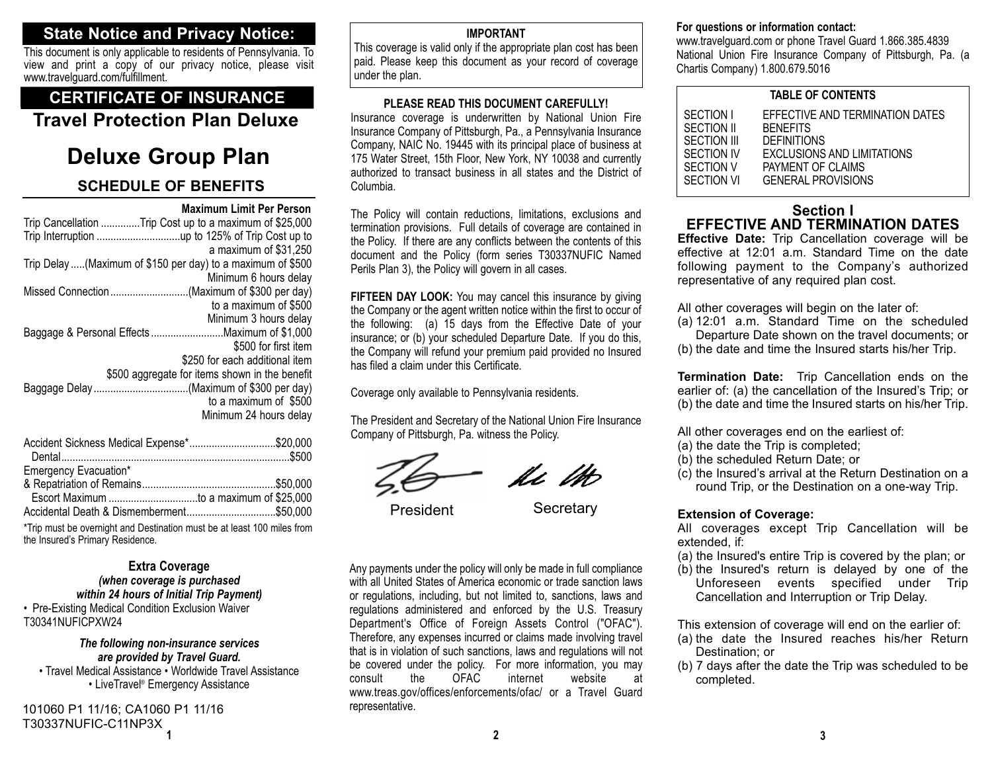# **State Notice and Privacy Notice:**

This document is only applicable to residents of Pennsylvania. To view and print a copy of our privacy notice, please visit www.travelguard.com/fulfillment.

# **CERTIFICATE OF INSURANCE**

**Travel Protection Plan Deluxe**

# **Deluxe Group Plan**

# **SCHEDULE OF BENEFITS**

|                                                              | <b>Maximum Limit Per Person</b>                |  |
|--------------------------------------------------------------|------------------------------------------------|--|
| Trip Cancellation Trip Cost up to a maximum of \$25,000      |                                                |  |
|                                                              |                                                |  |
|                                                              | a maximum of \$31,250                          |  |
| Trip Delay  (Maximum of \$150 per day) to a maximum of \$500 |                                                |  |
|                                                              | Minimum 6 hours delay                          |  |
|                                                              |                                                |  |
|                                                              | to a maximum of \$500                          |  |
|                                                              | Minimum 3 hours delay                          |  |
| Baggage & Personal Effects Maximum of \$1,000                |                                                |  |
|                                                              | \$500 for first item                           |  |
|                                                              | \$250 for each additional item                 |  |
|                                                              | \$500 aggregate for items shown in the benefit |  |
| Baggage Delay(Maximum of \$300 per day)                      |                                                |  |
|                                                              | to a maximum of \$500                          |  |
|                                                              | Minimum 24 hours delay                         |  |
|                                                              |                                                |  |

| Accident Sickness Medical Expense*\$20,000 |  |
|--------------------------------------------|--|
|                                            |  |
| Emergency Evacuation*                      |  |
|                                            |  |
|                                            |  |
| Accidental Death & Dismemberment\$50,000   |  |

\*Trip must be overnight and Destination must be at least 100 miles from the Insured's Primary Residence.

## **Extra Coverage** *(when coverage is purchased within 24 hours of Initial Trip Payment)*

• Pre-Existing Medical Condition Exclusion Waiver T30341NUFICPXW24

## *The following non-insurance services are provided by Travel Guard.*

• Travel Medical Assistance • Worldwide Travel Assistance • LiveTravel® Emergency Assistance

**1**101060 P1 11/16; CA1060 P1 11/16 T30337NUFIC-C11NP3X

## **IMPORTANT**

This coverage is valid only if the appropriate plan cost has been paid. Please keep this document as your record of coverage under the plan.

## **PLEASE READ THIS DOCUMENT CAREFULLY!**

Insurance coverage is underwritten by National Union Fire Insurance Company of Pittsburgh, Pa., a Pennsylvania Insurance Company, NAIC No. 19445 with its principal place of business at 175 Water Street, 15th Floor, New York, NY 10038 and currently authorized to transact business in all states and the District ofColumbia.

The Policy will contain reductions, limitations, exclusions and termination provisions. Full details of coverage are contained in the Policy. If there are any conflicts between the contents of this document and the Policy (form series T30337NUFIC Named Perils Plan 3), the Policy will govern in all cases.

**FIFTEEN DAY LOOK:** You may cancel this insurance by giving the Company or the agent written notice within the first to occur of the following: (a) 15 days from the Effective Date of your insurance; or (b) your scheduled Departure Date. If you do this, the Company will refund your premium paid provided no Insured has filed a claim under this Certificate.

Coverage only available to Pennsylvania residents.

The President and Secretary of the National Union Fire Insurance Company of Pittsburgh, Pa. witness the Policy.

le M

President Secretary

Any payments under the policy will only be made in full compliance with all United States of America economic or trade sanction lawsor regulations, including, but not limited to, sanctions, laws and regulations administered and enforced by the U.S. Treasury Department's Office of Foreign Assets Control ("OFAC"). Therefore, any expenses incurred or claims made involving travel that is in violation of such sanctions, laws and regulations will not be covered under the policy. For more information, you may<br>consult the OFAC internet website at consult the OFAC internet website atwww.treas.gov/offices/enforcements/ofac/ or a Travel Guard representative.

## **For questions or information contact:**

www.travelguard.com or phone Travel Guard 1.866.385.4839 National Union Fire Insurance Company of Pittsburgh, Pa. (a Chartis Company) 1.800.679.5016

## **TABLE OF CONTENTS**

| SECTION I   | EFFECTIVE AND TERMINATION DATES |  |
|-------------|---------------------------------|--|
| SECTION II  | <b>BENEFITS</b>                 |  |
| SECTION III | <b>DEFINITIONS</b>              |  |
| SECTION IV  | EXCLUSIONS AND LIMITATIONS      |  |
| SECTION V   | PAYMENT OF CLAIMS               |  |
| SECTION VI  | <b>GENERAL PROVISIONS</b>       |  |
|             |                                 |  |

## **Section IEFFECTIVE AND TERMINATION DATES**

**Effective Date:** Trip Cancellation coverage will be effective at 12:01 a.m. Standard Time on the date following payment to the Company's authorized representative of any required plan cost.

All other coverages will begin on the later of:

- (a) 12:01 a.m. Standard Time on the scheduled Departure Date shown on the travel documents; or
- (b) the date and time the Insured starts his/her Trip.

**Termination Date:** Trip Cancellation ends on the earlier of: (a) the cancellation of the Insured's Trip; or (b) the date and time the Insured starts on his/her Trip.

All other coverages end on the earliest of:

- (a) the date the Trip is completed;
- (b) the scheduled Return Date; or
- (c) the Insured's arrival at the Return Destination on a round Trip, or the Destination on a one-way Trip.

## **Extension of Coverage:**

All coverages except Trip Cancellation will be extended, if:

- (a) the Insured's entire Trip is covered by the plan; or
- (b) the Insured's return is delayed by one of the Unforeseen events specified under Trip Cancellation and Interruption or Trip Delay.

This extension of coverage will end on the earlier of:

- (a) the date the Insured reaches his/her Return Destination; or
- (b) 7 days after the date the Trip was scheduled to be completed.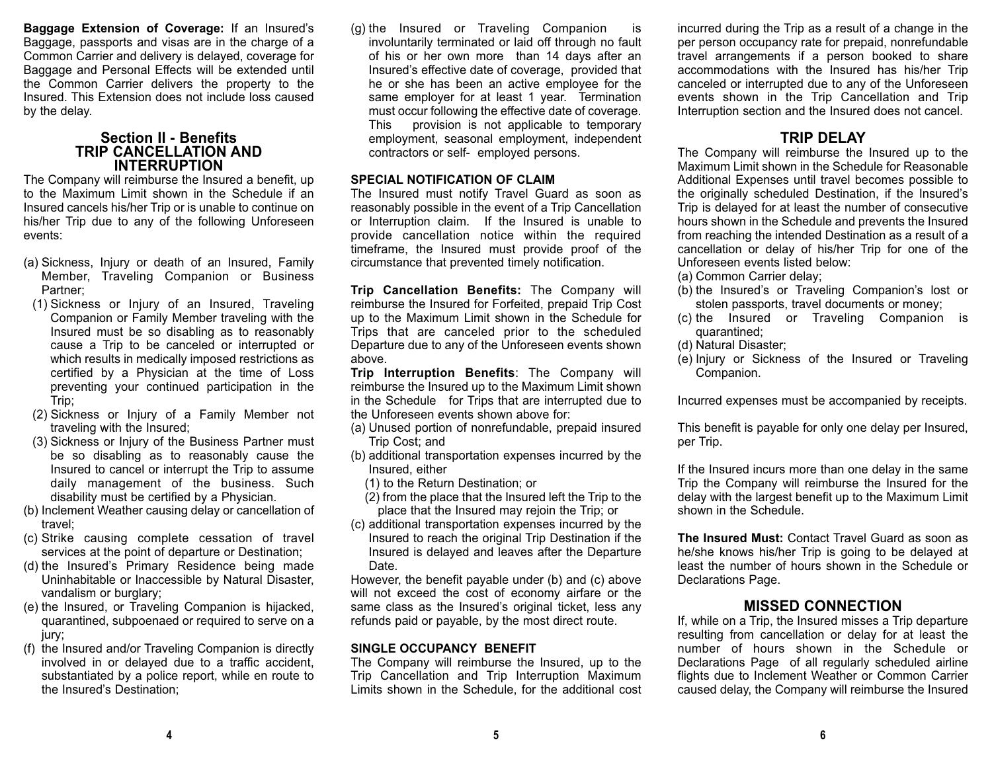**Baggage Extension of Coverage:** If an Insured's Baggage, passports and visas are in the charge of a Common Carrier and delivery is delayed, coverage for Baggage and Personal Effects will be extended until the Common Carrier delivers the property to the Insured. This Extension does not include loss causedby the delay.

## **Section II - Benefits TRIP CANCELLATION ANDINTERRUPTION**

The Company will reimburse the Insured a benefit, up to the Maximum Limit shown in the Schedule if anInsured cancels his/her Trip or is unable to continue on his/her Trip due to any of the following Unforeseen events:

- (a) Sickness, Injury or death of an Insured, Family Member, Traveling Companion or Business Partner;
- (1) Sickness or Injury of an Insured, Traveling Companion or Family Member traveling with the Insured must be so disabling as to reasonably cause a Trip to be canceled or interrupted or which results in medically imposed restrictions as certified by a Physician at the time of Loss preventing your continued participation in the Trip;
- (2) Sickness or Injury of a Family Member not traveling with the Insured;
- (3) Sickness or Injury of the Business Partner must be so disabling as to reasonably cause the Insured to cancel or interrupt the Trip to assume daily management of the business. Such disability must be certified by a Physician.
- (b) Inclement Weather causing delay or cancellation of travel;
- (c) Strike causing complete cessation of travel services at the point of departure or Destination;
- (d) the Insured's Primary Residence being made Uninhabitable or Inaccessible by Natural Disaster, vandalism or burglary;
- (e) the Insured, or Traveling Companion is hijacked, quarantined, subpoenaed or required to serve on a jury;
- (f) the Insured and/or Traveling Companion is directly involved in or delayed due to a traffic accident, substantiated by a police report, while en route to the Insured's Destination;

(g) the Insured or Traveling Companion is involuntarily terminated or laid off through no fault of his or her own more than 14 days after an Insured's effective date of coverage, provided that he or she has been an active employee for the same employer for at least 1 year. Termination must occur following the effective date of coverage. This provision is not applicable to temporary employment, seasonal employment, independent contractors or self- employed persons.

## **SPECIAL NOTIFICATION OF CLAIM**

The Insured must notify Travel Guard as soon as reasonably possible in the event of a Trip Cancellation or Interruption claim. If the Insured is unable to provide cancellation notice within the required timeframe, the Insured must provide proof of the circumstance that prevented timely notification.

**Trip Cancellation Benefits:** The Company will reimburse the Insured for Forfeited, prepaid Trip Cost up to the Maximum Limit shown in the Schedule for Trips that are canceled prior to the scheduled Departure due to any of the Unforeseen events shown above.

**Trip Interruption Benefits**: The Company will reimburse the Insured up to the Maximum Limit shown in the Schedule for Trips that are interrupted due to the Unforeseen events shown above for:

- (a) Unused portion of nonrefundable, prepaid insured Trip Cost; and
- (b) additional transportation expenses incurred by the Insured, either
	- (1) to the Return Destination; or
	- (2) from the place that the Insured left the Trip to the place that the Insured may rejoin the Trip; or
- (c) additional transportation expenses incurred by the Insured to reach the original Trip Destination if the Insured is delayed and leaves after the Departure Date.

However, the benefit payable under (b) and (c) above will not exceed the cost of economy airfare or the same class as the Insured's original ticket, less any refunds paid or payable, by the most direct route.

## **SINGLE OCCUPANCY BENEFIT**

The Company will reimburse the Insured, up to the Trip Cancellation and Trip Interruption Maximum Limits shown in the Schedule, for the additional cost

incurred during the Trip as a result of a change in the per person occupancy rate for prepaid, nonrefundable travel arrangements if a person booked to share accommodations with the Insured has his/her Trip canceled or interrupted due to any of the Unforeseen events shown in the Trip Cancellation and Trip Interruption section and the Insured does not cancel.

# **TRIP DELAY**

 The Company will reimburse the Insured up to the Maximum Limit shown in the Schedule for ReasonableAdditional Expenses until travel becomes possible to the originally scheduled Destination, if the Insured's Trip is delayed for at least the number of consecutive hours shown in the Schedule and prevents the Insured from reaching the intended Destination as a result of a cancellation or delay of his/her Trip for one of the Unforeseen events listed below:

- (a) Common Carrier delay;
- (b) the Insured's or Traveling Companion's lost or stolen passports, travel documents or money;
- (c) the Insured or Traveling Companion is quarantined;
- (d) Natural Disaster;
- (e) Injury or Sickness of the Insured or Traveling Companion.

Incurred expenses must be accompanied by receipts.

This benefit is payable for only one delay per Insured, per Trip.

If the Insured incurs more than one delay in the same Trip the Company will reimburse the Insured for the delay with the largest benefit up to the Maximum Limit shown in the Schedule.

**The Insured Must:** Contact Travel Guard as soon ashe/she knows his/her Trip is going to be delayed at least the number of hours shown in the Schedule orDeclarations Page.

## **MISSED CONNECTION**

If, while on a Trip, the Insured misses a Trip departure resulting from cancellation or delay for at least the number of hours shown in the Schedule orDeclarations Page of all regularly scheduled airline flights due to Inclement Weather or Common Carrier caused delay, the Company will reimburse the Insured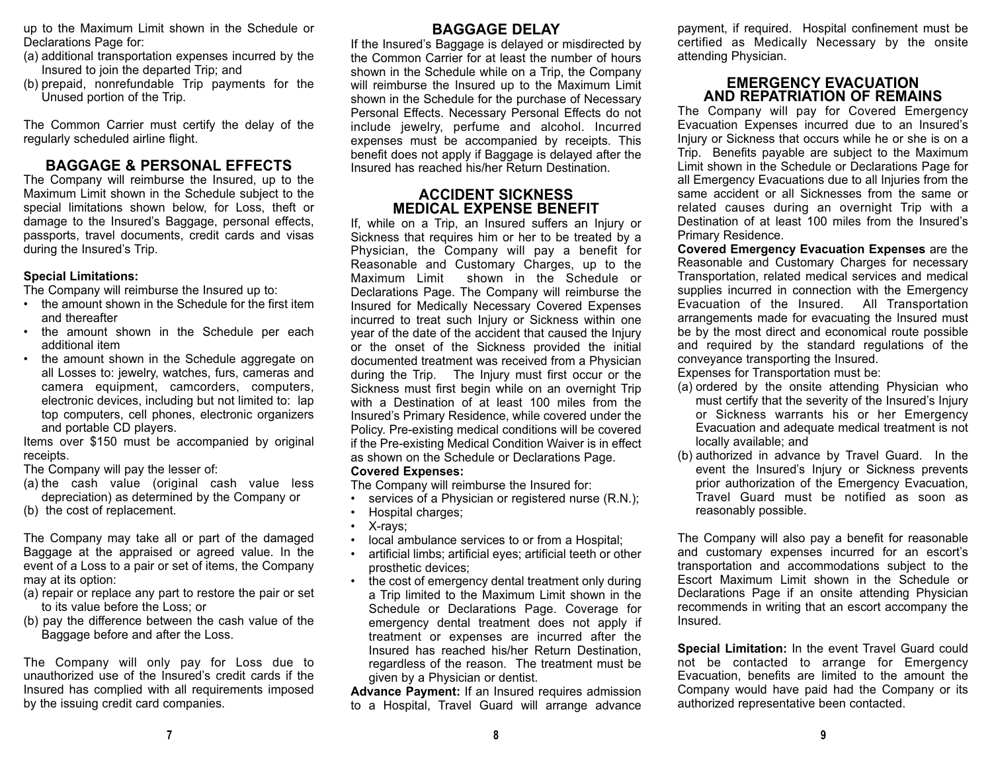up to the Maximum Limit shown in the Schedule or Declarations Page for:

- (a) additional transportation expenses incurred by the Insured to join the departed Trip; and
- (b) prepaid, nonrefundable Trip payments for the Unused portion of the Trip.

The Common Carrier must certify the delay of the regularly scheduled airline flight.

# **BAGGAGE & PERSONAL EFFECTS**

The Company will reimburse the Insured, up to the Maximum Limit shown in the Schedule subject to the special limitations shown below, for Loss, theft or damage to the Insured's Baggage, personal effects, passports, travel documents, credit cards and visas during the Insured's Trip.

## **Special Limitations:**

The Company will reimburse the Insured up to:

- • the amount shown in the Schedule for the first itemand thereafter
- the amount shown in the Schedule per each additional item
- • the amount shown in the Schedule aggregate on all Losses to: jewelry, watches, furs, cameras and camera equipment, camcorders, computers, electronic devices, including but not limited to: lap top computers, cell phones, electronic organizers and portable CD players.

Items over \$150 must be accompanied by original receipts.

The Company will pay the lesser of:

(a) the cash value (original cash value less depreciation) as determined by the Company or

(b) the cost of replacement.

The Company may take all or part of the damaged Baggage at the appraised or agreed value. In the event of a Loss to a pair or set of items, the Company may at its option:

- (a) repair or replace any part to restore the pair or set to its value before the Loss; or
- (b) pay the difference between the cash value of the Baggage before and after the Loss.

The Company will only pay for Loss due to unauthorized use of the Insured's credit cards if theInsured has complied with all requirements imposed by the issuing credit card companies.

# **BAGGAGE DELAY**

If the Insured's Baggage is delayed or misdirected by the Common Carrier for at least the number of hoursshown in the Schedule while on a Trip, the Company will reimburse the Insured up to the Maximum Limit shown in the Schedule for the purchase of Necessary Personal Effects. Necessary Personal Effects do not include jewelry, perfume and alcohol. Incurred expenses must be accompanied by receipts. This benefit does not apply if Baggage is delayed after the Insured has reached his/her Return Destination.

## **ACCIDENT SICKNESS MEDICAL EXPENSE BENEFIT**

If, while on a Trip, an Insured suffers an Injury or Sickness that requires him or her to be treated by a Physician, the Company will pay a benefit for Reasonable and Customary Charges, up to the Maximum Limit shown in the Schedule orDeclarations Page. The Company will reimburse the Insured for Medically Necessary Covered Expenses incurred to treat such Injury or Sickness within one year of the date of the accident that caused the Injury or the onset of the Sickness provided the initial documented treatment was received from a Physician during the Trip. The Injury must first occur or the Sickness must first begin while on an overnight Trip with a Destination of at least 100 miles from theInsured's Primary Residence, while covered under the Policy. Pre-existing medical conditions will be covered if the Pre-existing Medical Condition Waiver is in effect as shown on the Schedule or Declarations Page. **Covered Expenses:** 

The Company will reimburse the Insured for:

- •services of a Physician or registered nurse (R.N.);
- •Hospital charges;
- •X-rays;
- •local ambulance services to or from a Hospital;
- • artificial limbs; artificial eyes; artificial teeth or other prosthetic devices;
- • the cost of emergency dental treatment only during a Trip limited to the Maximum Limit shown in the Schedule or Declarations Page. Coverage for emergency dental treatment does not apply if treatment or expenses are incurred after the Insured has reached his/her Return Destination, regardless of the reason. The treatment must be given by a Physician or dentist.

**Advance Payment:** If an Insured requires admission to a Hospital, Travel Guard will arrange advance

payment, if required. Hospital confinement must be certified as Medically Necessary by the onsite attending Physician.

## **EMERGENCY EVACUATIONAND REPATRIATION OF REMAINS**

The Company will pay for Covered Emergency Evacuation Expenses incurred due to an Insured's Injury or Sickness that occurs while he or she is on a Trip. Benefits payable are subject to the Maximum Limit shown in the Schedule or Declarations Page for all Emergency Evacuations due to all Injuries from the same accident or all Sicknesses from the same or related causes during an overnight Trip with a Destination of at least 100 miles from the Insured'sPrimary Residence.

**Covered Emergency Evacuation Expenses** are the Reasonable and Customary Charges for necessary Transportation, related medical services and medical supplies incurred in connection with the Emergency Evacuation of the Insured. All Transportation arrangements made for evacuating the Insured must be by the most direct and economical route possible and required by the standard regulations of the conveyance transporting the Insured.

Expenses for Transportation must be:

- (a) ordered by the onsite attending Physician who must certify that the severity of the Insured's Injury or Sickness warrants his or her Emergency Evacuation and adequate medical treatment is not locally available; and
- (b) authorized in advance by Travel Guard. In the event the Insured's Injury or Sickness prevents prior authorization of the Emergency Evacuation, Travel Guard must be notified as soon asreasonably possible.

The Company will also pay a benefit for reasonable and customary expenses incurred for an escort's transportation and accommodations subject to the Escort Maximum Limit shown in the Schedule orDeclarations Page if an onsite attending Physician recommends in writing that an escort accompany the Insured.

**Special Limitation:** In the event Travel Guard could not be contacted to arrange for Emergency Evacuation, benefits are limited to the amount the Company would have paid had the Company or its authorized representative been contacted.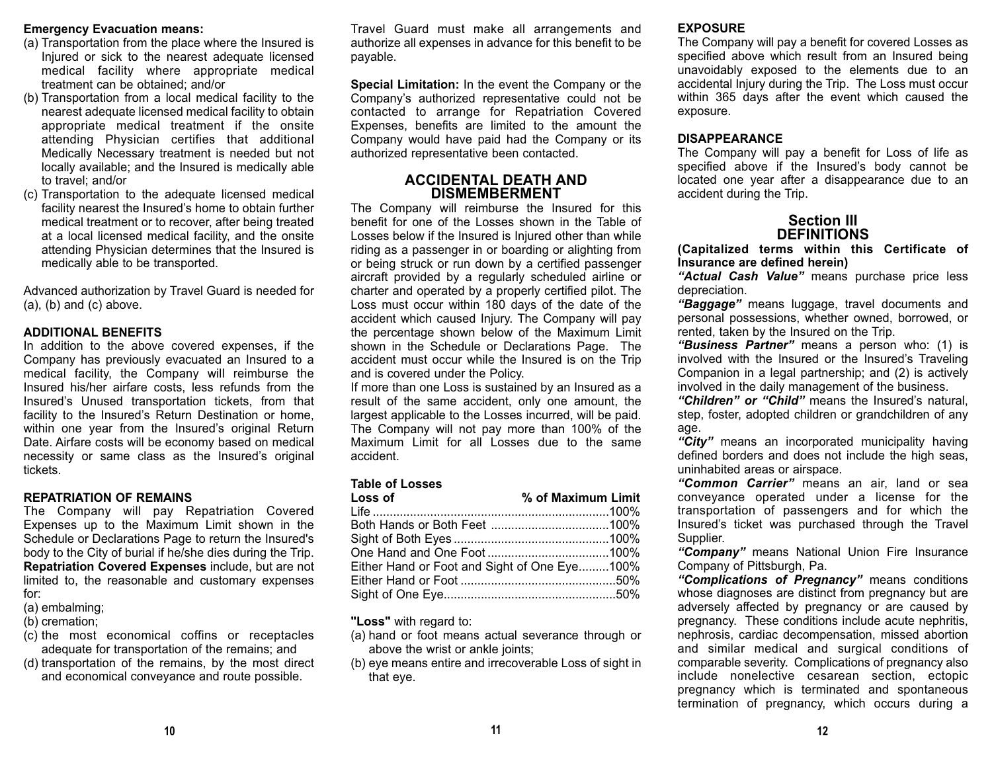#### **Emergency Evacuation means:**

- (a) Transportation from the place where the Insured is Injured or sick to the nearest adequate licensed medical facility where appropriate medical treatment can be obtained; and/or
- (b) Transportation from a local medical facility to the nearest adequate licensed medical facility to obtain appropriate medical treatment if the onsite attending Physician certifies that additional Medically Necessary treatment is needed but not locally available; and the Insured is medically able to travel; and/or
- (c) Transportation to the adequate licensed medical facility nearest the Insured's home to obtain further medical treatment or to recover, after being treated at a local licensed medical facility, and the onsite attending Physician determines that the Insured is medically able to be transported.

Advanced authorization by Travel Guard is needed for  $(a)$ ,  $(b)$  and  $(c)$  above.

## **ADDITIONAL BENEFITS**

In addition to the above covered expenses, if the Company has previously evacuated an Insured to a medical facility, the Company will reimburse the Insured his/her airfare costs, less refunds from the Insured's Unused transportation tickets, from that facility to the Insured's Return Destination or home, within one year from the Insured's original Return Date. Airfare costs will be economy based on medical necessity or same class as the Insured's original tickets.

#### **REPATRIATION OF REMAINS**

 The Company will pay Repatriation Covered Expenses up to the Maximum Limit shown in the Schedule or Declarations Page to return the Insured's body to the City of burial if he/she dies during the Trip. **Repatriation Covered Expenses** include, but are not limited to, the reasonable and customary expenses for:

- (a) embalming;
- (b) cremation;
- (c) the most economical coffins or receptacles adequate for transportation of the remains; and
- (d) transportation of the remains, by the most direct and economical conveyance and route possible.

Travel Guard must make all arrangements and authorize all expenses in advance for this benefit to be payable.

**Special Limitation:** In the event the Company or the Company's authorized representative could not be contacted to arrange for Repatriation Covered Expenses, benefits are limited to the amount the Company would have paid had the Company or its authorized representative been contacted.

## **ACCIDENTAL DEATH ANDDISMEMBERMENT**

The Company will reimburse the Insured for this benefit for one of the Losses shown in the Table ofLosses below if the Insured is Injured other than while riding as a passenger in or boarding or alighting from or being struck or run down by a certified passenger aircraft provided by a regularly scheduled airline or charter and operated by a properly certified pilot. The Loss must occur within 180 days of the date of the accident which caused Injury. The Company will pay the percentage shown below of the Maximum Limit shown in the Schedule or Declarations Page. The accident must occur while the Insured is on the Trip and is covered under the Policy.

If more than one Loss is sustained by an Insured as a result of the same accident, only one amount, the largest applicable to the Losses incurred, will be paid. The Company will not pay more than 100% of the Maximum Limit for all Losses due to the sameaccident.

#### **Table of Losses**

| Loss of                                      | % of Maximum Limit |
|----------------------------------------------|--------------------|
|                                              |                    |
|                                              |                    |
|                                              |                    |
|                                              |                    |
| Either Hand or Foot and Sight of One Eye100% |                    |
|                                              |                    |
|                                              |                    |

**"Loss"** with regard to:

- (a) hand or foot means actual severance through or above the wrist or ankle joints;
- (b) eye means entire and irrecoverable Loss of sight in that eye.

#### **EXPOSURE**

The Company will pay a benefit for covered Losses as specified above which result from an Insured being unavoidably exposed to the elements due to an accidental Injury during the Trip. The Loss must occur within 365 days after the event which caused the exposure.

#### **DISAPPEARANCE**

The Company will pay a benefit for Loss of life as specified above if the Insured's body cannot be located one year after a disappearance due to an accident during the Trip.

## **Section IIIDEFINITIONS**

**(Capitalized terms within this Certificate of Insurance are defined herein)**

*"Actual Cash Value"* means purchase price less depreciation.

*"Baggage"* means luggage, travel documents and personal possessions, whether owned, borrowed, or rented, taken by the Insured on the Trip.

*"Business Partner"* means a person who: (1) is involved with the Insured or the Insured's Traveling Companion in a legal partnership; and (2) is actively involved in the daily management of the business.

*"Children" or "Child"* means the Insured's natural, step, foster, adopted children or grandchildren of any age.

"City" means an incorporated municipality having defined borders and does not include the high seas, uninhabited areas or airspace.

*"Common Carrier"* means an air, land or sea conveyance operated under a license for the transportation of passengers and for which the Insured's ticket was purchased through the Travel Supplier.

*"Company"* means National Union Fire Insurance Company of Pittsburgh, Pa.

*"Complications of Pregnancy"* means conditions whose diagnoses are distinct from pregnancy but are adversely affected by pregnancy or are caused by pregnancy. These conditions include acute nephritis, nephrosis, cardiac decompensation, missed abortion and similar medical and surgical conditions of comparable severity. Complications of pregnancy also include nonelective cesarean section, ectopic pregnancy which is terminated and spontaneous termination of pregnancy, which occurs during a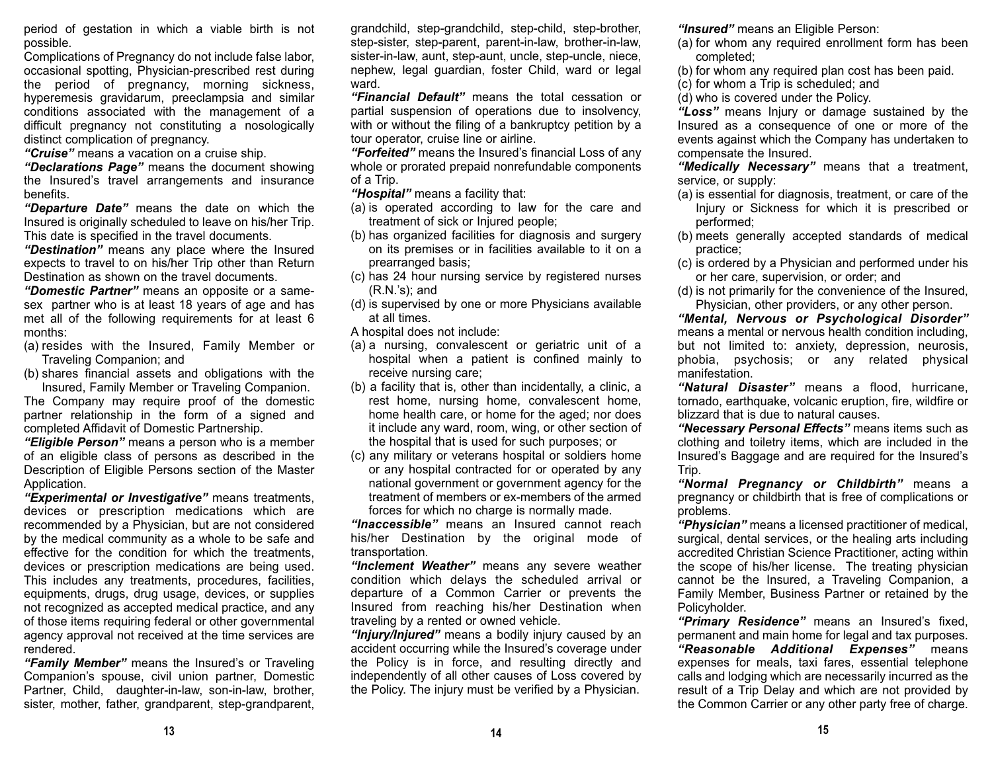period of gestation in which a viable birth is not possible.

Complications of Pregnancy do not include false labor, occasional spotting, Physician-prescribed rest during the period of pregnancy, morning sickness, hyperemesis gravidarum, preeclampsia and similar conditions associated with the management of a difficult pregnancy not constituting a nosologically distinct complication of pregnancy.

*"Cruise"* means a vacation on a cruise ship.

*"Declarations Page"* means the document showing the Insured's travel arrangements and insurance benefits.

*"Departure Date"* means the date on which the Insured is originally scheduled to leave on his/her Trip. This date is specified in the travel documents.

*"Destination"* means any place where the Insured expects to travel to on his/her Trip other than Return Destination as shown on the travel documents.

*"Domestic Partner"* means an opposite or a samesex partner who is at least 18 years of age and has met all of the following requirements for at least 6 months:

- (a) resides with the Insured, Family Member or Traveling Companion; and
- (b) shares financial assets and obligations with the Insured, Family Member or Traveling Companion.

The Company may require proof of the domestic partner relationship in the form of a signed and completed Affidavit of Domestic Partnership.

*"Eligible Person"* means a person who is a member of an eligible class of persons as described in the Description of Eligible Persons section of the Master Application.

*"Experimental or Investigative"* means treatments, devices or prescription medications which are recommended by a Physician, but are not considered by the medical community as a whole to be safe and effective for the condition for which the treatments, devices or prescription medications are being used. This includes any treatments, procedures, facilities, equipments, drugs, drug usage, devices, or supplies not recognized as accepted medical practice, and any of those items requiring federal or other governmental agency approval not received at the time services are rendered.

*"Family Member"* means the Insured's or Traveling Companion's spouse, civil union partner, Domestic Partner, Child, daughter-in-law, son-in-law, brother, sister, mother, father, grandparent, step-grandparent,

grandchild, step-grandchild, step-child, step-brother, step-sister, step-parent, parent-in-law, brother-in-law, sister-in-law, aunt, step-aunt, uncle, step-uncle, niece, nephew, legal guardian, foster Child, ward or legal ward.

*"Financial Default"* means the total cessation or partial suspension of operations due to insolvency, with or without the filing of a bankruptcy petition by a tour operator, cruise line or airline.

*"Forfeited"* means the Insured's financial Loss of any whole or prorated prepaid nonrefundable components of a Trip.

*"Hospital"* means a facility that:

- (a) is operated according to law for the care and treatment of sick or Injured people;
- (b) has organized facilities for diagnosis and surgery on its premises or in facilities available to it on a prearranged basis;
- (c) has 24 hour nursing service by registered nurses (R.N.'s); and
- (d) is supervised by one or more Physicians available at all times.

A hospital does not include:

- (a) a nursing, convalescent or geriatric unit of a hospital when a patient is confined mainly to receive nursing care;
- (b) a facility that is, other than incidentally, a clinic, a rest home, nursing home, convalescent home, home health care, or home for the aged; nor does it include any ward, room, wing, or other section of the hospital that is used for such purposes; or
- (c) any military or veterans hospital or soldiers home or any hospital contracted for or operated by any national government or government agency for the treatment of members or ex-members of the armedforces for which no charge is normally made.

*"Inaccessible"* means an Insured cannot reach his/her Destination by the original mode of transportation.

*"Inclement Weather"* means any severe weather condition which delays the scheduled arrival or departure of a Common Carrier or prevents the Insured from reaching his/her Destination when traveling by a rented or owned vehicle.

*"Injury/Injured"* means a bodily injury caused by an accident occurring while the Insured's coverage under the Policy is in force, and resulting directly and independently of all other causes of Loss covered by the Policy. The injury must be verified by a Physician.

*"Insured"* means an Eligible Person:

- (a) for whom any required enrollment form has been completed;
- (b) for whom any required plan cost has been paid.
- (c) for whom a Trip is scheduled; and
- (d) who is covered under the Policy.

*"Loss"* means Injury or damage sustained by the Insured as a consequence of one or more of the events against which the Company has undertaken to compensate the Insured.

*"Medically Necessary"* means that a treatment, service, or supply:

- (a) is essential for diagnosis, treatment, or care of the Injury or Sickness for which it is prescribed or performed;
- (b) meets generally accepted standards of medical practice;
- (c) is ordered by a Physician and performed under his or her care, supervision, or order; and
- (d) is not primarily for the convenience of the Insured, Physician, other providers, or any other person.

*"Mental, Nervous or Psychological Disorder"* means a mental or nervous health condition including, but not limited to: anxiety, depression, neurosis, phobia, psychosis; or any related physical manifestation.

*"Natural Disaster"* means a flood, hurricane, tornado, earthquake, volcanic eruption, fire, wildfire or blizzard that is due to natural causes.

*"Necessary Personal Effects"* means items such as clothing and toiletry items, which are included in the Insured's Baggage and are required for the Insured's Trip.

*"Normal Pregnancy or Childbirth"* means a pregnancy or childbirth that is free of complications or problems.

*"Physician"* means a licensed practitioner of medical, surgical, dental services, or the healing arts including accredited Christian Science Practitioner, acting within the scope of his/her license. The treating physician cannot be the Insured, a Traveling Companion, a Family Member, Business Partner or retained by the Policyholder.

*"Primary Residence"* means an Insured's fixed, permanent and main home for legal and tax purposes. *"Reasonable Additional Expenses"* means expenses for meals, taxi fares, essential telephone calls and lodging which are necessarily incurred as the result of a Trip Delay and which are not provided by the Common Carrier or any other party free of charge.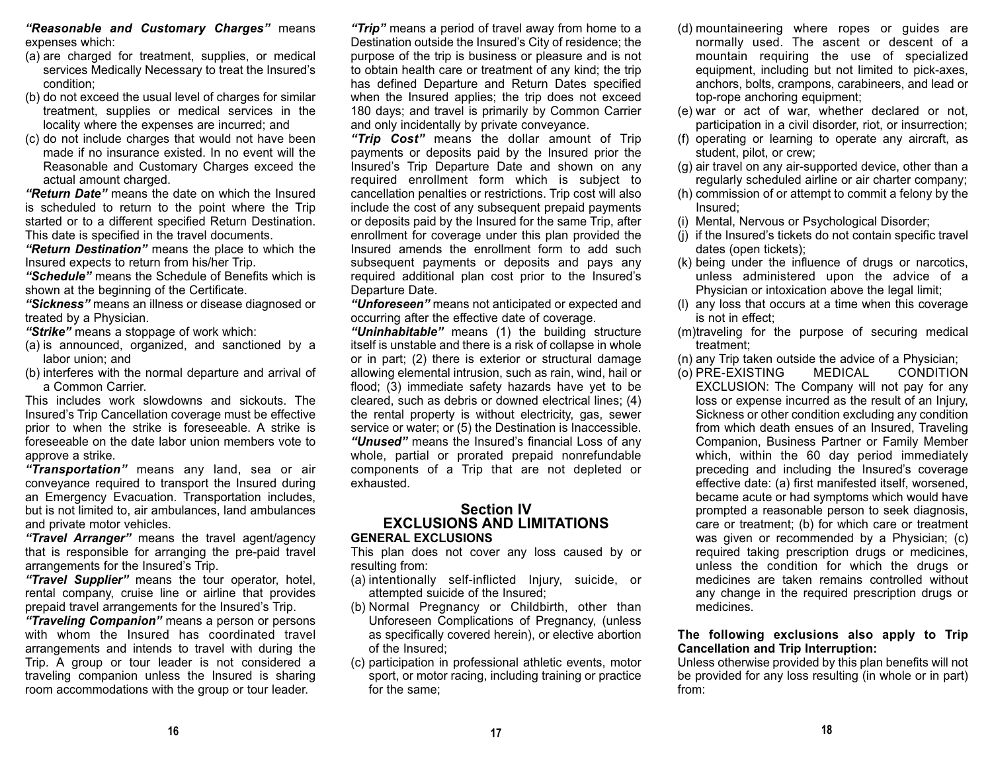*"Reasonable and Customary Charges"* means expenses which:

- (a) are charged for treatment, supplies, or medical services Medically Necessary to treat the Insured's condition;
- (b) do not exceed the usual level of charges for similar treatment, supplies or medical services in the locality where the expenses are incurred; and
- (c) do not include charges that would not have been made if no insurance existed. In no event will the Reasonable and Customary Charges exceed the actual amount charged.

*"Return Date"* means the date on which the Insured is scheduled to return to the point where the Trip started or to a different specified Return Destination. This date is specified in the travel documents.

*"Return Destination"* means the place to which the Insured expects to return from his/her Trip.

*"Schedule"* means the Schedule of Benefits which is shown at the beginning of the Certificate.

*"Sickness"* means an illness or disease diagnosed or treated by a Physician.

*"Strike"* means a stoppage of work which:

- (a) is announced, organized, and sanctioned by a labor union; and
- (b) interferes with the normal departure and arrival of a Common Carrier.

This includes work slowdowns and sickouts. TheInsured's Trip Cancellation coverage must be effective prior to when the strike is foreseeable. A strike is foreseeable on the date labor union members vote toapprove a strike.

*"Transportation"* means any land, sea or air conveyance required to transport the Insured during an Emergency Evacuation. Transportation includes, but is not limited to, air ambulances, land ambulances and private motor vehicles.

*"Travel Arranger"* means the travel agent/agency that is responsible for arranging the pre-paid travel arrangements for the Insured's Trip.

*"Travel Supplier"* means the tour operator, hotel, rental company, cruise line or airline that provides prepaid travel arrangements for the Insured's Trip.

*"Traveling Companion"* means a person or persons with whom the Insured has coordinated travel arrangements and intends to travel with during the Trip. A group or tour leader is not considered a traveling companion unless the Insured is sharing room accommodations with the group or tour leader.

*"Trip"* means a period of travel away from home to a Destination outside the Insured's City of residence; the purpose of the trip is business or pleasure and is not to obtain health care or treatment of any kind; the trip has defined Departure and Return Dates specified when the Insured applies; the trip does not exceed 180 days; and travel is primarily by Common Carrier and only incidentally by private conveyance.

*"Trip Cost"* means the dollar amount of Trip payments or deposits paid by the Insured prior the Insured's Trip Departure Date and shown on any required enrollment form which is subject to cancellation penalties or restrictions. Trip cost will also include the cost of any subsequent prepaid payments or deposits paid by the Insured for the same Trip, after enrollment for coverage under this plan provided the Insured amends the enrollment form to add suchsubsequent payments or deposits and pays any required additional plan cost prior to the Insured's Departure Date.

*"Unforeseen"* means not anticipated or expected and occurring after the effective date of coverage.

*"Uninhabitable"* means (1) the building structure itself is unstable and there is a risk of collapse in whole or in part; (2) there is exterior or structural damage allowing elemental intrusion, such as rain, wind, hail or flood; (3) immediate safety hazards have yet to be cleared, such as debris or downed electrical lines; (4) the rental property is without electricity, gas, sewer service or water; or (5) the Destination is Inaccessible. *"Unused"* means the Insured's financial Loss of any whole, partial or prorated prepaid nonrefundable components of a Trip that are not depleted or exhausted.

#### **Section IV EXCLUSIONS AND LIMITATIONSGENERAL EXCLUSIONS**

This plan does not cover any loss caused by or resulting from:

- (a) intentionally self-inflicted Injury, suicide, or attempted suicide of the Insured;
- (b) Normal Pregnancy or Childbirth, other than Unforeseen Complications of Pregnancy, (unless as specifically covered herein), or elective abortion of the Insured;
- (c) participation in professional athletic events, motor sport, or motor racing, including training or practice for the same;
- (d) mountaineering where ropes or guides are normally used. The ascent or descent of a mountain requiring the use of specialized equipment, including but not limited to pick-axes, anchors, bolts, crampons, carabineers, and lead or top-rope anchoring equipment;
- (e) war or act of war, whether declared or not, participation in a civil disorder, riot, or insurrection;
- (f) operating or learning to operate any aircraft, as student, pilot, or crew;
- (g) air travel on any air-supported device, other than a regularly scheduled airline or air charter company;
- (h) commission of or attempt to commit a felony by the Insured;
- (i) Mental, Nervous or Psychological Disorder;
- (j) if the Insured's tickets do not contain specific travel dates (open tickets);
- (k) being under the influence of drugs or narcotics, unless administered upon the advice of a Physician or intoxication above the legal limit;
- (l) any loss that occurs at a time when this coverage is not in effect;
- (m)traveling for the purpose of securing medical treatment;
- (n) any Trip taken outside the advice of a Physician;
- (o) PRE-EXISTING MEDICAL CONDITION EXCLUSION: The Company will not pay for any loss or expense incurred as the result of an Injury, Sickness or other condition excluding any condition from which death ensues of an Insured, Traveling Companion, Business Partner or Family Member which, within the 60 day period immediately preceding and including the Insured's coverage effective date: (a) first manifested itself, worsened, became acute or had symptoms which would have prompted a reasonable person to seek diagnosis, care or treatment; (b) for which care or treatment was given or recommended by a Physician; (c) required taking prescription drugs or medicines, unless the condition for which the drugs or medicines are taken remains controlled withoutany change in the required prescription drugs or medicines.

**The following exclusions also apply to Trip Cancellation and Trip Interruption:**

Unless otherwise provided by this plan benefits will not be provided for any loss resulting (in whole or in part) from: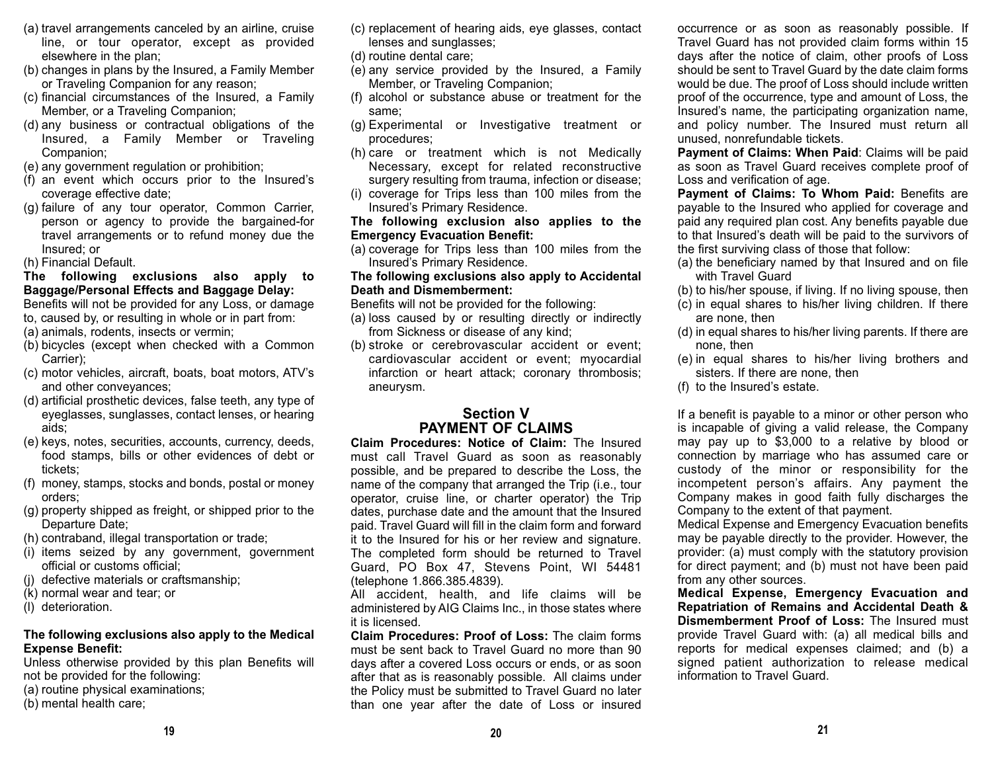- (a) travel arrangements canceled by an airline, cruise line, or tour operator, except as provided elsewhere in the plan;
- (b) changes in plans by the Insured, a Family Member or Traveling Companion for any reason;
- (c) financial circumstances of the Insured, a Family Member, or a Traveling Companion;
- (d) any business or contractual obligations of the Insured, a Family Member or Traveling Companion;
- (e) any government regulation or prohibition;
- (f) an event which occurs prior to the Insured's coverage effective date;
- (g) failure of any tour operator, Common Carrier, person or agency to provide the bargained-for travel arrangements or to refund money due the Insured; or
- (h) Financial Default.

## **The following exclusions also apply to Baggage/Personal Effects and Baggage Delay:**

Benefits will not be provided for any Loss, or damage

- to, caused by, or resulting in whole or in part from: (a) animals, rodents, insects or vermin;
- 
- (b) bicycles (except when checked with a Common Carrier);
- (c) motor vehicles, aircraft, boats, boat motors, ATV's and other conveyances;
- (d) artificial prosthetic devices, false teeth, any type of eyeglasses, sunglasses, contact lenses, or hearing aids;
- (e) keys, notes, securities, accounts, currency, deeds, food stamps, bills or other evidences of debt or tickets;
- (f) money, stamps, stocks and bonds, postal or money orders;
- (g) property shipped as freight, or shipped prior to the Departure Date;
- (h) contraband, illegal transportation or trade;
- (i) items seized by any government, government official or customs official;
- (j) defective materials or craftsmanship;
- (k) normal wear and tear; or
- (l) deterioration.

# **The following exclusions also apply to the Medical Expense Benefit:**

Unless otherwise provided by this plan Benefits will not be provided for the following:

- (a) routine physical examinations;
- (b) mental health care;
- (c) replacement of hearing aids, eye glasses, contact lenses and sunglasses;
- (d) routine dental care;
- (e) any service provided by the Insured, a Family Member, or Traveling Companion;
- (f) alcohol or substance abuse or treatment for the same;
- (g) Experimental or Investigative treatment or procedures;
- (h) care or treatment which is not Medically Necessary, except for related reconstructive surgery resulting from trauma, infection or disease;
- (i) coverage for Trips less than 100 miles from the Insured's Primary Residence.

**The following exclusion also applies to the Emergency Evacuation Benefit:**

(a) coverage for Trips less than 100 miles from the Insured's Primary Residence.

#### **The following exclusions also apply to Accidental Death and Dismemberment:**

Benefits will not be provided for the following:

- (a) loss caused by or resulting directly or indirectly from Sickness or disease of any kind;
- (b) stroke or cerebrovascular accident or event; cardiovascular accident or event; myocardial infarction or heart attack; coronary thrombosis; aneurysm.

# **Section VPAYMENT OF CLAIMS**

**Claim Procedures: Notice of Claim:** The Insuredmust call Travel Guard as soon as reasonably possible, and be prepared to describe the Loss, the name of the company that arranged the Trip (i.e., tour operator, cruise line, or charter operator) the Trip dates, purchase date and the amount that the Insured paid. Travel Guard will fill in the claim form and forward it to the Insured for his or her review and signature. The completed form should be returned to Travel Guard, PO Box 47, Stevens Point, WI 54481 (telephone 1.866.385.4839).

All accident, health, and life claims will be administered by AIG Claims Inc., in those states where it is licensed.

**Claim Procedures: Proof of Loss:** The claim formsmust be sent back to Travel Guard no more than 90days after a covered Loss occurs or ends, or as soon after that as is reasonably possible. All claims under the Policy must be submitted to Travel Guard no later than one year after the date of Loss or insured

occurrence or as soon as reasonably possible. If Travel Guard has not provided claim forms within 15 days after the notice of claim, other proofs of Loss should be sent to Travel Guard by the date claim forms would be due. The proof of Loss should include written proof of the occurrence, type and amount of Loss, the Insured's name, the participating organization name, and policy number. The Insured must return all unused, nonrefundable tickets.

**Payment of Claims: When Paid**: Claims will be paid as soon as Travel Guard receives complete proof of Loss and verification of age.

**Payment of Claims: To Whom Paid:** Benefits are payable to the Insured who applied for coverage and paid any required plan cost. Any benefits payable due to that Insured's death will be paid to the survivors of the first surviving class of those that follow:

- (a) the beneficiary named by that Insured and on file with Travel Guard
- (b) to his/her spouse, if living. If no living spouse, then
- (c) in equal shares to his/her living children. If there are none, then
- (d) in equal shares to his/her living parents. If there are none, then
- (e) in equal shares to his/her living brothers and sisters. If there are none, then
- (f) to the Insured's estate.

If a benefit is payable to a minor or other person who is incapable of giving a valid release, the Company may pay up to \$3,000 to a relative by blood or connection by marriage who has assumed care or custody of the minor or responsibility for the incompetent person's affairs. Any payment the Company makes in good faith fully discharges the Company to the extent of that payment.

Medical Expense and Emergency Evacuation benefits may be payable directly to the provider. However, the provider: (a) must comply with the statutory provision for direct payment; and (b) must not have been paid from any other sources.

**Medical Expense, Emergency Evacuation and Repatriation of Remains and Accidental Death & Dismemberment Proof of Loss:** The Insured must provide Travel Guard with: (a) all medical bills and reports for medical expenses claimed; and (b) a signed patient authorization to release medical information to Travel Guard.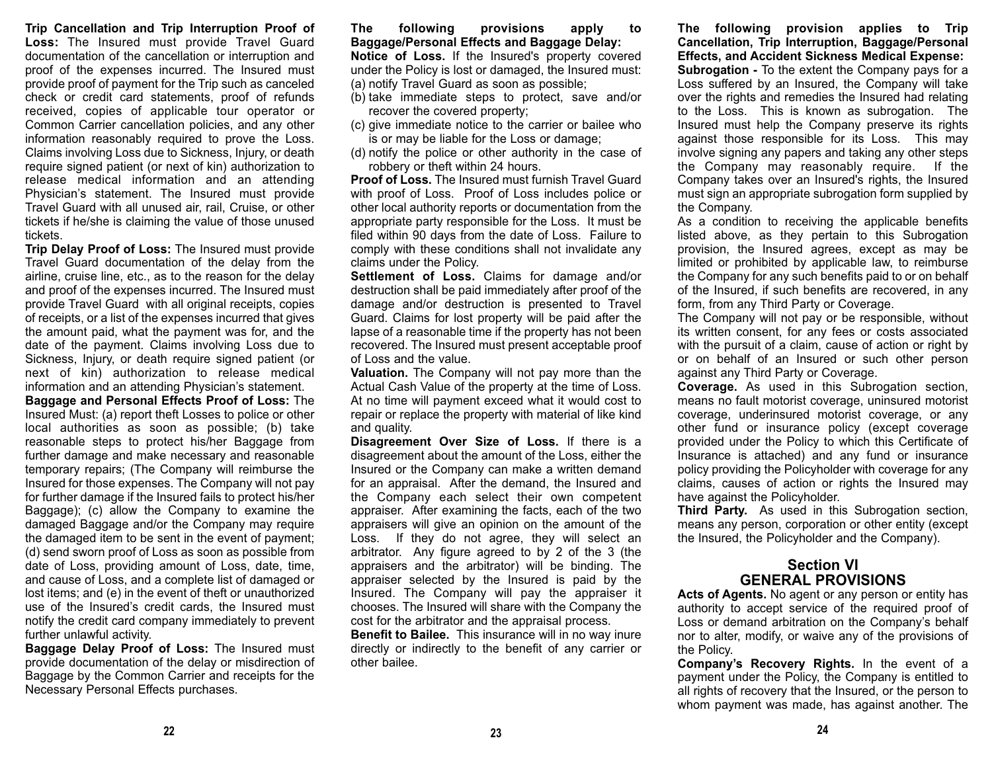**Trip Cancellation and Trip Interruption Proof of Loss:** The Insured must provide Travel Guard documentation of the cancellation or interruption and proof of the expenses incurred. The Insured must provide proof of payment for the Trip such as canceled check or credit card statements, proof of refunds received, copies of applicable tour operator or Common Carrier cancellation policies, and any other information reasonably required to prove the Loss. Claims involving Loss due to Sickness, Injury, or death require signed patient (or next of kin) authorization to release medical information and an attending Physician's statement. The Insured must provide Travel Guard with all unused air, rail, Cruise, or other tickets if he/she is claiming the value of those unused tickets.

**Trip Delay Proof of Loss:** The Insured must provide Travel Guard documentation of the delay from the airline, cruise line, etc., as to the reason for the delay and proof of the expenses incurred. The Insured must provide Travel Guard with all original receipts, copies of receipts, or a list of the expenses incurred that gives the amount paid, what the payment was for, and the date of the payment. Claims involving Loss due to Sickness, Injury, or death require signed patient (or next of kin) authorization to release medical information and an attending Physician's statement.

**Baggage and Personal Effects Proof of Loss:** The Insured Must: (a) report theft Losses to police or other local authorities as soon as possible; (b) take reasonable steps to protect his/her Baggage from further damage and make necessary and reasonable temporary repairs; (The Company will reimburse the Insured for those expenses. The Company will not pay for further damage if the Insured fails to protect his/her Baggage); (c) allow the Company to examine the damaged Baggage and/or the Company may require the damaged item to be sent in the event of payment; (d) send sworn proof of Loss as soon as possible from date of Loss, providing amount of Loss, date, time, and cause of Loss, and a complete list of damaged or lost items; and (e) in the event of theft or unauthorized use of the Insured's credit cards, the Insured must notify the credit card company immediately to prevent further unlawful activity.

**Baggage Delay Proof of Loss:** The Insured must provide documentation of the delay or misdirection of Baggage by the Common Carrier and receipts for the Necessary Personal Effects purchases.

**The following provisions apply to Baggage/Personal Effects and Baggage Delay: Notice of Loss.** If the Insured's property covered under the Policy is lost or damaged, the Insured must:

- (a) notify Travel Guard as soon as possible;
- (b) take immediate steps to protect, save and/or recover the covered property;
- (c) give immediate notice to the carrier or bailee who is or may be liable for the Loss or damage;
- (d) notify the police or other authority in the case of robbery or theft within 24 hours.

**Proof of Loss.** The Insured must furnish Travel Guardwith proof of Loss. Proof of Loss includes police or other local authority reports or documentation from the appropriate party responsible for the Loss. It must be filed within 90 days from the date of Loss. Failure to comply with these conditions shall not invalidate any claims under the Policy.

**Settlement of Loss.** Claims for damage and/or destruction shall be paid immediately after proof of the damage and/or destruction is presented to Travel Guard. Claims for lost property will be paid after the lapse of a reasonable time if the property has not been recovered. The Insured must present acceptable proof of Loss and the value.

**Valuation.** The Company will not pay more than the Actual Cash Value of the property at the time of Loss. At no time will payment exceed what it would cost to repair or replace the property with material of like kind and quality.

**Disagreement Over Size of Loss.** If there is a disagreement about the amount of the Loss, either the Insured or the Company can make a written demand for an appraisal. After the demand, the Insured and the Company each select their own competent appraiser. After examining the facts, each of the two appraisers will give an opinion on the amount of the Loss. If they do not agree, they will select an arbitrator. Any figure agreed to by 2 of the 3 (the appraisers and the arbitrator) will be binding. The appraiser selected by the Insured is paid by the Insured. The Company will pay the appraiser it chooses. The Insured will share with the Company the cost for the arbitrator and the appraisal process.

**Benefit to Bailee.** This insurance will in no way inure directly or indirectly to the benefit of any carrier or other bailee.

**The following provision applies to Trip Cancellation, Trip Interruption, Baggage/Personal Effects, and Accident Sickness Medical Expense: Subrogation -** To the extent the Company pays for a Loss suffered by an Insured, the Company will take over the rights and remedies the Insured had relating to the Loss. This is known as subrogation. The Insured must help the Company preserve its rights against those responsible for its Loss. This may involve signing any papers and taking any other steps the Company may reasonably require. If the Company takes over an Insured's rights, the Insured must sign an appropriate subrogation form supplied by the Company.

As a condition to receiving the applicable benefits listed above, as they pertain to this Subrogation provision, the Insured agrees, except as may be limited or prohibited by applicable law, to reimburse the Company for any such benefits paid to or on behalf of the Insured, if such benefits are recovered, in any form, from any Third Party or Coverage.

The Company will not pay or be responsible, without its written consent, for any fees or costs associated with the pursuit of a claim, cause of action or right by or on behalf of an Insured or such other person against any Third Party or Coverage.

**Coverage.** As used in this Subrogation section, means no fault motorist coverage, uninsured motorist coverage, underinsured motorist coverage, or any other fund or insurance policy (except coverage provided under the Policy to which this Certificate of Insurance is attached) and any fund or insurance policy providing the Policyholder with coverage for any claims, causes of action or rights the Insured may have against the Policyholder.

**Third Party.** As used in this Subrogation section, means any person, corporation or other entity (except the Insured, the Policyholder and the Company).

# **Section VIGENERAL PROVISIONS**

**Acts of Agents.** No agent or any person or entity has authority to accept service of the required proof of Loss or demand arbitration on the Company's behalf nor to alter, modify, or waive any of the provisions of the Policy.

**Company's Recovery Rights.** In the event of a payment under the Policy, the Company is entitled to all rights of recovery that the Insured, or the person to whom payment was made, has against another. The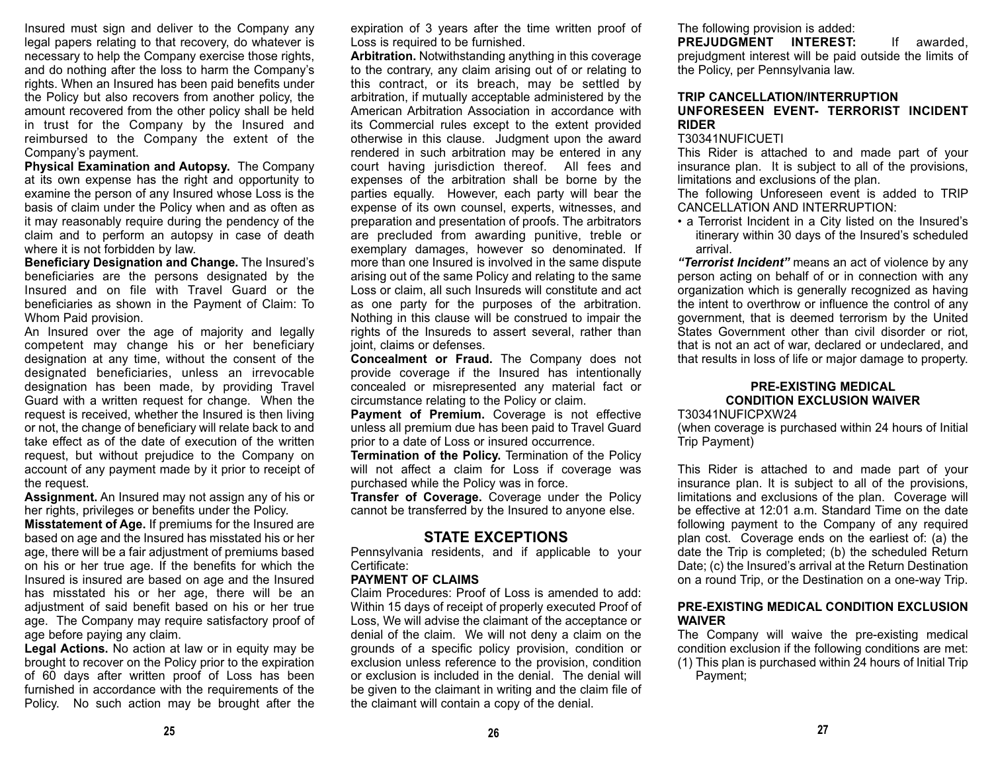Insured must sign and deliver to the Company any legal papers relating to that recovery, do whatever is necessary to help the Company exercise those rights, and do nothing after the loss to harm the Company's rights. When an Insured has been paid benefits under the Policy but also recovers from another policy, the amount recovered from the other policy shall be held in trust for the Company by the Insured and reimbursed to the Company the extent of the Company's payment.

**Physical Examination and Autopsy.** The Company at its own expense has the right and opportunity to examine the person of any Insured whose Loss is the basis of claim under the Policy when and as often as it may reasonably require during the pendency of the claim and to perform an autopsy in case of death where it is not forbidden by law.

**Beneficiary Designation and Change.** The Insured's beneficiaries are the persons designated by the Insured and on file with Travel Guard or thebeneficiaries as shown in the Payment of Claim: To Whom Paid provision.

An Insured over the age of majority and legally competent may change his or her beneficiary designation at any time, without the consent of the designated beneficiaries, unless an irrevocable designation has been made, by providing Travel Guard with a written request for change. When the request is received, whether the Insured is then living or not, the change of beneficiary will relate back to and take effect as of the date of execution of the written request, but without prejudice to the Company on account of any payment made by it prior to receipt of the request.

**Assignment.** An Insured may not assign any of his or her rights, privileges or benefits under the Policy.

**Misstatement of Age.** If premiums for the Insured are based on age and the Insured has misstated his or her age, there will be a fair adjustment of premiums based on his or her true age. If the benefits for which the Insured is insured are based on age and the Insured has misstated his or her age, there will be an adjustment of said benefit based on his or her true age. The Company may require satisfactory proof of age before paying any claim.

**Legal Actions.** No action at law or in equity may be brought to recover on the Policy prior to the expiration of 60 days after written proof of Loss has been furnished in accordance with the requirements of the Policy. No such action may be brought after the

expiration of 3 years after the time written proof of Loss is required to be furnished.

**Arbitration.** Notwithstanding anything in this coverage to the contrary, any claim arising out of or relating to this contract, or its breach, may be settled by arbitration, if mutually acceptable administered by the American Arbitration Association in accordance with its Commercial rules except to the extent provided otherwise in this clause. Judgment upon the award rendered in such arbitration may be entered in any court having jurisdiction thereof. All fees and expenses of the arbitration shall be borne by the parties equally. However, each party will bear the expense of its own counsel, experts, witnesses, and preparation and presentation of proofs. The arbitrators are precluded from awarding punitive, treble or exemplary damages, however so denominated. If more than one Insured is involved in the same dispute arising out of the same Policy and relating to the same Loss or claim, all such Insureds will constitute and act as one party for the purposes of the arbitration. Nothing in this clause will be construed to impair the rights of the Insureds to assert several, rather than joint, claims or defenses.

**Concealment or Fraud.** The Company does not provide coverage if the Insured has intentionally concealed or misrepresented any material fact or circumstance relating to the Policy or claim.

**Payment of Premium.** Coverage is not effective unless all premium due has been paid to Travel Guard prior to a date of Loss or insured occurrence.

**Termination of the Policy.** Termination of the Policy will not affect a claim for Loss if coverage was purchased while the Policy was in force.

**Transfer of Coverage.** Coverage under the Policy cannot be transferred by the Insured to anyone else.

## **STATE EXCEPTIONS**

 Pennsylvania residents, and if applicable to your Certificate:

#### **PAYMENT OF CLAIMS**

Claim Procedures: Proof of Loss is amended to add:Within 15 days of receipt of properly executed Proof of Loss, We will advise the claimant of the acceptance or denial of the claim. We will not deny a claim on the grounds of a specific policy provision, condition or exclusion unless reference to the provision, condition or exclusion is included in the denial. The denial willbe given to the claimant in writing and the claim file of the claimant will contain a copy of the denial.

## The following provision is added:

**PREJUDGMENT INTEREST:** If awarded, prejudgment interest will be paid outside the limits of the Policy, per Pennsylvania law.

#### **TRIP CANCELLATION/INTERRUPTIONUNFORESEEN EVENT- TERRORIST INCIDENTRIDER**

#### T30341NUFICUETI

This Rider is attached to and made part of your insurance plan. It is subject to all of the provisions, limitations and exclusions of the plan.

The following Unforeseen event is added to TRIP CANCELLATION AND INTERRUPTION:

• a Terrorist Incident in a City listed on the Insured's itinerary within 30 days of the Insured's scheduled arrival.

*"Terrorist Incident"* means an act of violence by any person acting on behalf of or in connection with any organization which is generally recognized as having the intent to overthrow or influence the control of any government, that is deemed terrorism by the United States Government other than civil disorder or riot, that is not an act of war, declared or undeclared, and that results in loss of life or major damage to property.

## **PRE-EXISTING MEDICAL CONDITION EXCLUSION WAIVER**

#### T30341NUFICPXW24

(when coverage is purchased within 24 hours of Initial Trip Payment)

This Rider is attached to and made part of your insurance plan. It is subject to all of the provisions, limitations and exclusions of the plan. Coverage will be effective at 12:01 a.m. Standard Time on the datefollowing payment to the Company of any required plan cost. Coverage ends on the earliest of: (a) the date the Trip is completed; (b) the scheduled Return Date; (c) the Insured's arrival at the Return Destination on a round Trip, or the Destination on a one-way Trip.

#### **PRE-EXISTING MEDICAL CONDITION EXCLUSIONWAIVER**

The Company will waive the pre-existing medical condition exclusion if the following conditions are met: (1) This plan is purchased within 24 hours of Initial Trip Payment;